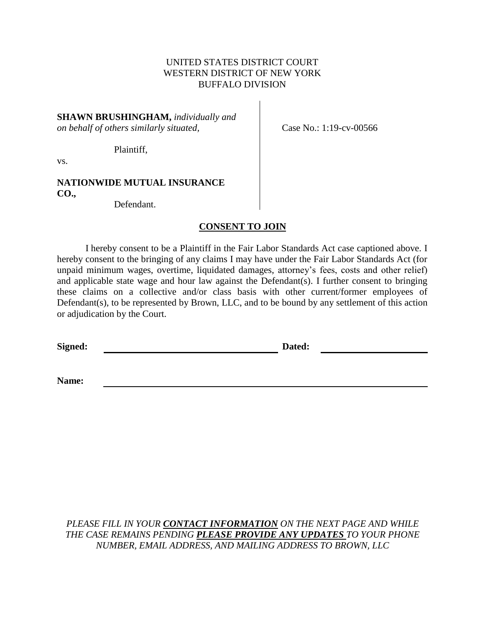### UNITED STATES DISTRICT COURT WESTERN DISTRICT OF NEW YORK BUFFALO DIVISION

### **SHAWN BRUSHINGHAM,** *individually and on behalf of others similarly situated,*

Case No.: 1:19-cv-00566

vs.

#### **NATIONWIDE MUTUAL INSURANCE CO.,**

Defendant.

Plaintiff,

### **CONSENT TO JOIN**

I hereby consent to be a Plaintiff in the Fair Labor Standards Act case captioned above. I hereby consent to the bringing of any claims I may have under the Fair Labor Standards Act (for unpaid minimum wages, overtime, liquidated damages, attorney's fees, costs and other relief) and applicable state wage and hour law against the Defendant(s). I further consent to bringing these claims on a collective and/or class basis with other current/former employees of Defendant(s), to be represented by Brown, LLC, and to be bound by any settlement of this action or adjudication by the Court.

**Signed: Dated:**

**Name:**

*PLEASE FILL IN YOUR CONTACT INFORMATION ON THE NEXT PAGE AND WHILE THE CASE REMAINS PENDING PLEASE PROVIDE ANY UPDATES TO YOUR PHONE NUMBER, EMAIL ADDRESS, AND MAILING ADDRESS TO BROWN, LLC*